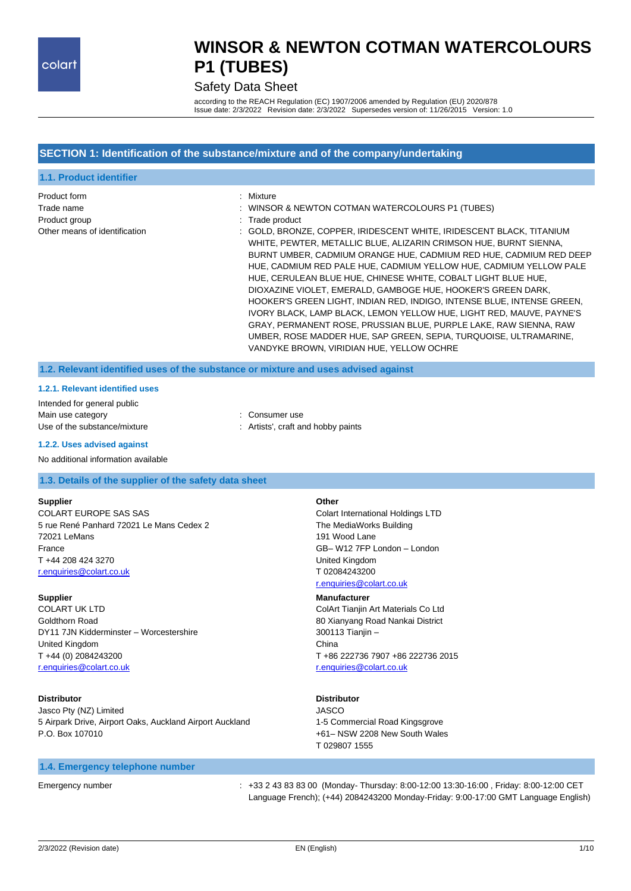#### Safety Data Sheet

according to the REACH Regulation (EC) 1907/2006 amended by Regulation (EU) 2020/878 Issue date: 2/3/2022 Revision date: 2/3/2022 Supersedes version of: 11/26/2015 Version: 1.0

#### **SECTION 1: Identification of the substance/mixture and of the company/undertaking**

| 1.1. Product identifier                                                      |                                                                                                                                                                                                                                                                                                                                                                                                                                                                                                                                                                                                                                                                                                                                                                                                                                                     |
|------------------------------------------------------------------------------|-----------------------------------------------------------------------------------------------------------------------------------------------------------------------------------------------------------------------------------------------------------------------------------------------------------------------------------------------------------------------------------------------------------------------------------------------------------------------------------------------------------------------------------------------------------------------------------------------------------------------------------------------------------------------------------------------------------------------------------------------------------------------------------------------------------------------------------------------------|
| Product form<br>Trade name<br>Product group<br>Other means of identification | : Mixture<br>: WINSOR & NEWTON COTMAN WATERCOLOURS P1 (TUBES)<br>: Trade product<br>: GOLD, BRONZE, COPPER, IRIDESCENT WHITE, IRIDESCENT BLACK, TITANIUM<br>WHITE, PEWTER, METALLIC BLUE, ALIZARIN CRIMSON HUE, BURNT SIENNA,<br>BURNT UMBER, CADMIUM ORANGE HUE, CADMIUM RED HUE, CADMIUM RED DEEP<br>HUE, CADMIUM RED PALE HUE, CADMIUM YELLOW HUE, CADMIUM YELLOW PALE<br>HUE, CERULEAN BLUE HUE, CHINESE WHITE, COBALT LIGHT BLUE HUE,<br>DIOXAZINE VIOLET, EMERALD, GAMBOGE HUE, HOOKER'S GREEN DARK,<br>HOOKER'S GREEN LIGHT. INDIAN RED. INDIGO. INTENSE BLUE. INTENSE GREEN.<br>IVORY BLACK, LAMP BLACK, LEMON YELLOW HUE, LIGHT RED, MAUVE, PAYNE'S<br>GRAY, PERMANENT ROSE, PRUSSIAN BLUE, PURPLE LAKE, RAW SIENNA, RAW<br>UMBER, ROSE MADDER HUE, SAP GREEN, SEPIA, TURQUOISE, ULTRAMARINE,<br>VANDYKE BROWN, VIRIDIAN HUE, YELLOW OCHRE |

**1.2. Relevant identified uses of the substance or mixture and uses advised against**

#### **1.2.1. Relevant identified uses**

Intended for general public Main use category **Example 20** and 20 and 20 and 20 and 20 and 20 and 20 and 20 and 20 and 20 and 20 and 20 and 20 and 20 and 20 and 20 and 20 and 20 and 20 and 20 and 20 and 20 and 20 and 20 and 20 and 20 and 20 and 20 an Use of the substance/mixture : Artists', craft and hobby paints

#### **1.2.2. Uses advised against**

#### No additional information available

#### **1.3. Details of the supplier of the safety data sheet**

#### **Supplier**

COLART EUROPE SAS SAS 5 rue René Panhard 72021 Le Mans Cedex 2 72021 LeMans France T +44 208 424 3270 [r.enquiries@colart.co.uk](mailto:r.enquiries@colart.co.uk)

#### **Supplier**

COLART UK LTD Goldthorn Road DY11 7JN Kidderminster – Worcestershire United Kingdom T +44 (0) 2084243200 [r.enquiries@colart.co.uk](mailto:r.enquiries@colart.co.uk)

#### **Distributor**

Jasco Pty (NZ) Limited 5 Airpark Drive, Airport Oaks, Auckland Airport Auckland P.O. Box 107010

#### **1.4. Emergency telephone number**

Emergency number : +33 2 43 83 83 00 (Monday- Thursday: 8:00-12:00 13:30-16:00 , Friday: 8:00-12:00 CET Language French); (+44) 2084243200 Monday-Friday: 9:00-17:00 GMT Language English)

Colart International Holdings LTD The MediaWorks Building

**Other**

191 Wood Lane GB– W12 7FP London – London United Kingdom T 02084243200 [r.enquiries@colart.co.uk](mailto:r.enquiries@colart.co.uk)

#### **Manufacturer**

ColArt Tianjin Art Materials Co Ltd 80 Xianyang Road Nankai District 300113 Tianjin – China T +86 222736 7907 +86 222736 2015 [r.enquiries@colart.co.uk](mailto:r.enquiries@colart.co.uk)

#### **Distributor**

JASCO 1-5 Commercial Road Kingsgrove +61– NSW 2208 New South Wales T 029807 1555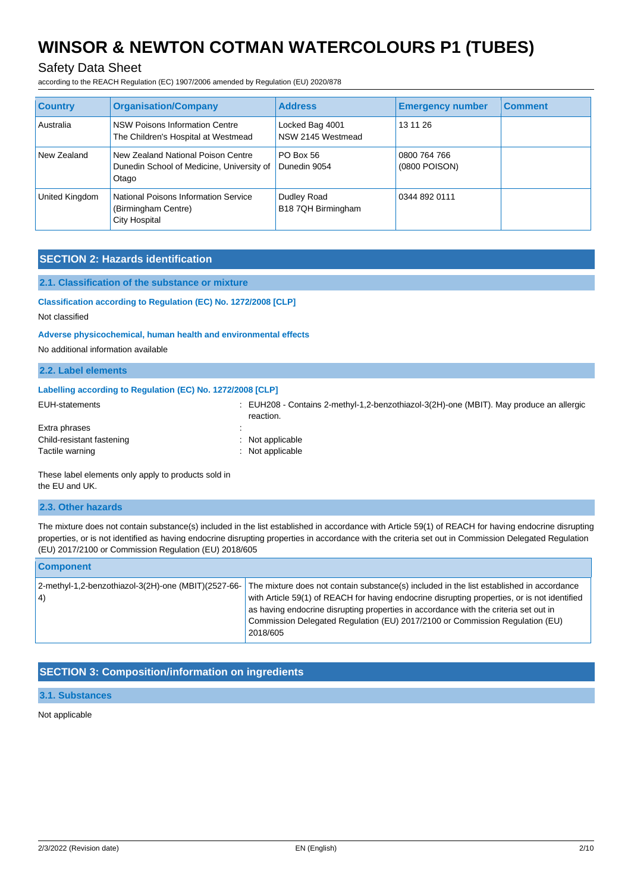### Safety Data Sheet

according to the REACH Regulation (EC) 1907/2006 amended by Regulation (EU) 2020/878

| <b>Country</b> | <b>Organisation/Company</b>                                                              | <b>Address</b>                       | <b>Emergency number</b>       | <b>Comment</b> |
|----------------|------------------------------------------------------------------------------------------|--------------------------------------|-------------------------------|----------------|
| Australia      | NSW Poisons Information Centre<br>The Children's Hospital at Westmead                    | Locked Bag 4001<br>NSW 2145 Westmead | 13 11 26                      |                |
| New Zealand    | New Zealand National Poison Centre<br>Dunedin School of Medicine, University of<br>Otago | <b>PO Box 56</b><br>Dunedin 9054     | 0800 764 766<br>(0800 POISON) |                |
| United Kingdom | National Poisons Information Service<br>(Birmingham Centre)<br><b>City Hospital</b>      | Dudley Road<br>B18 7QH Birmingham    | 0344 892 0111                 |                |

#### **SECTION 2: Hazards identification**

#### **2.1. Classification of the substance or mixture**

#### **Classification according to Regulation (EC) No. 1272/2008 [CLP]**

Not classified

#### **Adverse physicochemical, human health and environmental effects**

No additional information available

| 2.2. Label elements                                        |                                                                                                          |
|------------------------------------------------------------|----------------------------------------------------------------------------------------------------------|
| Labelling according to Regulation (EC) No. 1272/2008 [CLP] |                                                                                                          |
| EUH-statements                                             | $\pm$ EUH208 - Contains 2-methyl-1,2-benzothiazol-3(2H)-one (MBIT). May produce an allergic<br>reaction. |
| Extra phrases                                              |                                                                                                          |
| Child-resistant fastening                                  | Not applicable                                                                                           |

### Tactile warning : Not applicable

These label elements only apply to products sold in the EU and UK.

#### **2.3. Other hazards**

The mixture does not contain substance(s) included in the list established in accordance with Article 59(1) of REACH for having endocrine disrupting properties, or is not identified as having endocrine disrupting properties in accordance with the criteria set out in Commission Delegated Regulation (EU) 2017/2100 or Commission Regulation (EU) 2018/605

| <b>Component</b>                                          |                                                                                                                                                                                                                                                                                                                                                                              |
|-----------------------------------------------------------|------------------------------------------------------------------------------------------------------------------------------------------------------------------------------------------------------------------------------------------------------------------------------------------------------------------------------------------------------------------------------|
| 2-methyl-1,2-benzothiazol-3(2H)-one (MBIT)(2527-66-<br>4) | The mixture does not contain substance(s) included in the list established in accordance<br>with Article 59(1) of REACH for having endocrine disrupting properties, or is not identified<br>as having endocrine disrupting properties in accordance with the criteria set out in<br>Commission Delegated Regulation (EU) 2017/2100 or Commission Regulation (EU)<br>2018/605 |

#### **SECTION 3: Composition/information on ingredients**

#### **3.1. Substances**

Not applicable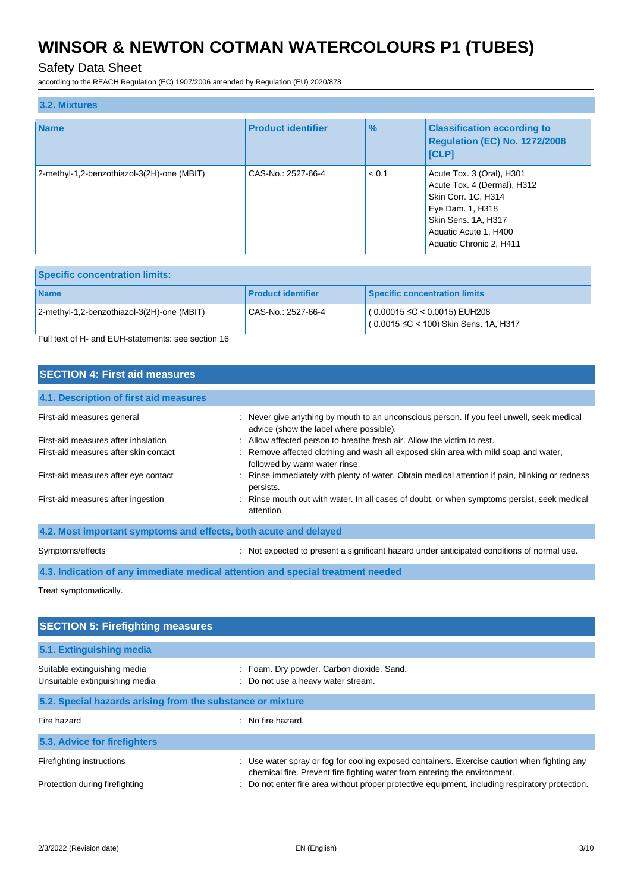### Safety Data Sheet

according to the REACH Regulation (EC) 1907/2006 amended by Regulation (EU) 2020/878

| 3.2. Mixtures                              |                           |               |                                                                                                                                                                                |
|--------------------------------------------|---------------------------|---------------|--------------------------------------------------------------------------------------------------------------------------------------------------------------------------------|
| <b>Name</b>                                | <b>Product identifier</b> | $\frac{9}{6}$ | <b>Classification according to</b><br>Regulation (EC) No. 1272/2008<br> [CLP]                                                                                                  |
| 2-methyl-1,2-benzothiazol-3(2H)-one (MBIT) | CAS-No.: 2527-66-4        | < 0.1         | Acute Tox. 3 (Oral), H301<br>Acute Tox. 4 (Dermal), H312<br>Skin Corr. 1C, H314<br>Eye Dam. 1, H318<br>Skin Sens. 1A, H317<br>Aquatic Acute 1, H400<br>Aquatic Chronic 2, H411 |

| <b>Specific concentration limits:</b>      |                           |                                                                                      |  |
|--------------------------------------------|---------------------------|--------------------------------------------------------------------------------------|--|
| <b>Name</b>                                | <b>Product identifier</b> | Specific concentration limits                                                        |  |
| 2-methyl-1,2-benzothiazol-3(2H)-one (MBIT) | CAS-No.: 2527-66-4        | $(0.00015 \leq C \leq 0.0015)$ EUH208<br>$(0.0015 \leq C$ < 100) Skin Sens. 1A, H317 |  |

Full text of H- and EUH-statements: see section 16

## **SECTION 4: First aid measures**

| 4.1. Description of first aid measures                           |                                                                                                                                      |
|------------------------------------------------------------------|--------------------------------------------------------------------------------------------------------------------------------------|
| First-aid measures general                                       | : Never give anything by mouth to an unconscious person. If you feel unwell, seek medical<br>advice (show the label where possible). |
| First-aid measures after inhalation                              | : Allow affected person to breathe fresh air. Allow the victim to rest.                                                              |
| First-aid measures after skin contact                            | : Remove affected clothing and wash all exposed skin area with mild soap and water,<br>followed by warm water rinse.                 |
| First-aid measures after eye contact                             | Rinse immediately with plenty of water. Obtain medical attention if pain, blinking or redness<br>persists.                           |
| First-aid measures after ingestion                               | : Rinse mouth out with water. In all cases of doubt, or when symptoms persist, seek medical<br>attention.                            |
| 4.2. Most important symptoms and effects, both acute and delayed |                                                                                                                                      |
|                                                                  |                                                                                                                                      |

Symptoms/effects : Not expected to present a significant hazard under anticipated conditions of normal use.

**4.3. Indication of any immediate medical attention and special treatment needed**

Treat symptomatically.

| <b>SECTION 5: Firefighting measures</b>                        |                                                                                                                                                                          |
|----------------------------------------------------------------|--------------------------------------------------------------------------------------------------------------------------------------------------------------------------|
| 5.1. Extinguishing media                                       |                                                                                                                                                                          |
| Suitable extinguishing media<br>Unsuitable extinguishing media | : Foam. Dry powder. Carbon dioxide. Sand.<br>: Do not use a heavy water stream.                                                                                          |
| 5.2. Special hazards arising from the substance or mixture     |                                                                                                                                                                          |
| Fire hazard                                                    | $:$ No fire hazard.                                                                                                                                                      |
| 5.3. Advice for firefighters                                   |                                                                                                                                                                          |
| Firefighting instructions                                      | : Use water spray or fog for cooling exposed containers. Exercise caution when fighting any<br>chemical fire. Prevent fire fighting water from entering the environment. |
| Protection during firefighting                                 | : Do not enter fire area without proper protective equipment, including respiratory protection.                                                                          |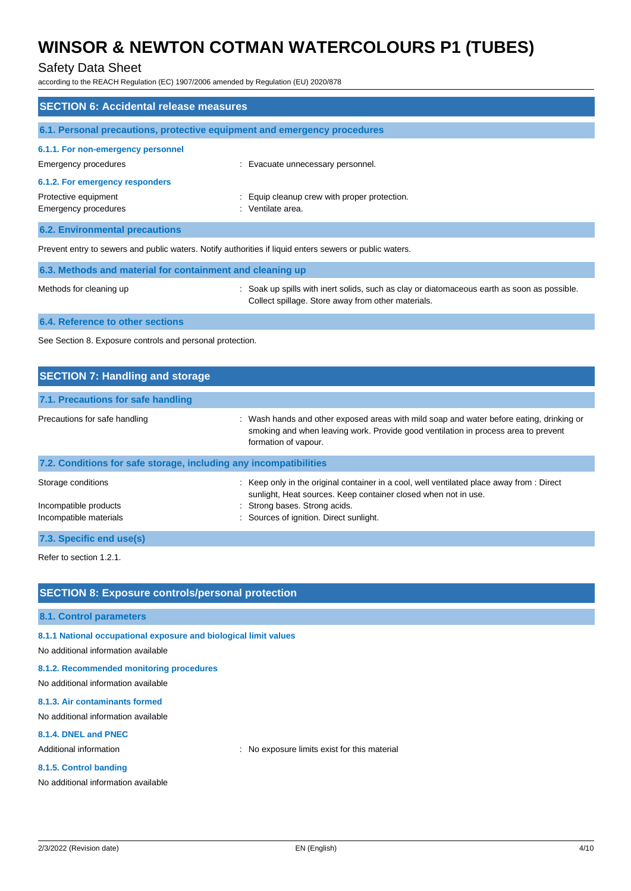### Safety Data Sheet

according to the REACH Regulation (EC) 1907/2006 amended by Regulation (EU) 2020/878

| <b>SECTION 6: Accidental release measures</b>                                                           |                                                                          |  |  |
|---------------------------------------------------------------------------------------------------------|--------------------------------------------------------------------------|--|--|
|                                                                                                         | 6.1. Personal precautions, protective equipment and emergency procedures |  |  |
| 6.1.1. For non-emergency personnel                                                                      |                                                                          |  |  |
| Emergency procedures                                                                                    | : Evacuate unnecessary personnel.                                        |  |  |
| 6.1.2. For emergency responders                                                                         |                                                                          |  |  |
| Protective equipment<br>Emergency procedures                                                            | : Equip cleanup crew with proper protection.<br>: Ventilate area.        |  |  |
|                                                                                                         |                                                                          |  |  |
| <b>6.2. Environmental precautions</b>                                                                   |                                                                          |  |  |
| Prevent entry to sewers and public waters. Notify authorities if liquid enters sewers or public waters. |                                                                          |  |  |

| 6.3. Methods and material for containment and cleaning up |                                                                                                                                                   |
|-----------------------------------------------------------|---------------------------------------------------------------------------------------------------------------------------------------------------|
| Methods for cleaning up                                   | : Soak up spills with inert solids, such as clay or diatomaceous earth as soon as possible.<br>Collect spillage. Store away from other materials. |

**6.4. Reference to other sections**

See Section 8. Exposure controls and personal protection.

| <b>SECTION 7: Handling and storage</b>                            |                                                                                                                                                                                                        |
|-------------------------------------------------------------------|--------------------------------------------------------------------------------------------------------------------------------------------------------------------------------------------------------|
| 7.1. Precautions for safe handling                                |                                                                                                                                                                                                        |
| Precautions for safe handling                                     | : Wash hands and other exposed areas with mild soap and water before eating, drinking or<br>smoking and when leaving work. Provide good ventilation in process area to prevent<br>formation of vapour. |
| 7.2. Conditions for safe storage, including any incompatibilities |                                                                                                                                                                                                        |
| Storage conditions                                                | : Keep only in the original container in a cool, well ventilated place away from : Direct<br>sunlight, Heat sources. Keep container closed when not in use.                                            |
| Incompatible products                                             | : Strong bases. Strong acids.                                                                                                                                                                          |
| Incompatible materials                                            | : Sources of ignition. Direct sunlight.                                                                                                                                                                |
| 7.3. Specific end use(s)                                          |                                                                                                                                                                                                        |

Refer to section 1.2.1.

#### **SECTION 8: Exposure controls/personal protection**

#### **8.1. Control parameters**

**8.1.1 National occupational exposure and biological limit values**

No additional information available

#### **8.1.2. Recommended monitoring procedures**

No additional information available

### **8.1.3. Air contaminants formed**

No additional information available

### **8.1.4. DNEL and PNEC**

Additional information **interest in the set of the set of the set of the material**  $\cdot$  No exposure limits exist for this material

#### **8.1.5. Control banding**

No additional information available

2/3/2022 (Revision date) EN (English) 4/10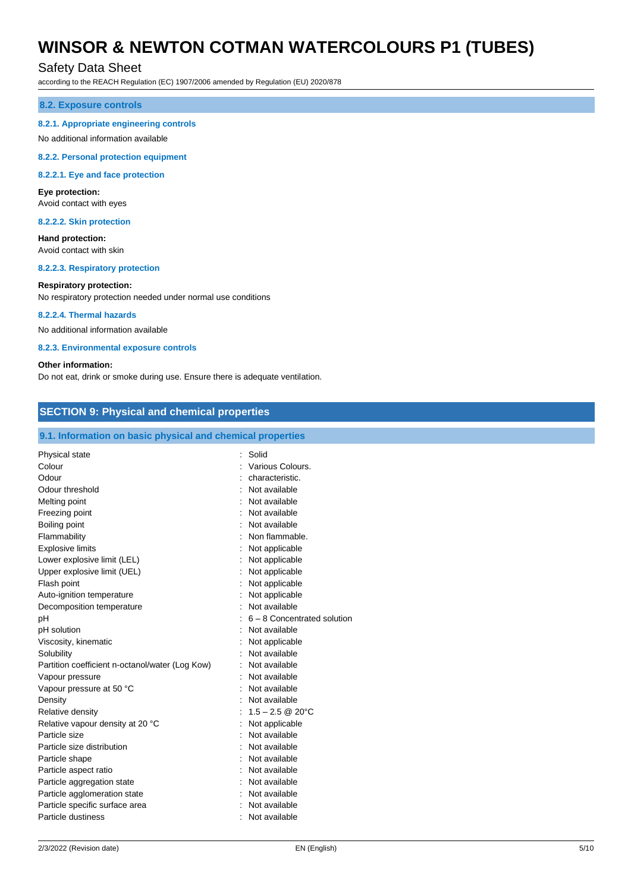#### Safety Data Sheet

according to the REACH Regulation (EC) 1907/2006 amended by Regulation (EU) 2020/878

#### **8.2. Exposure controls**

#### **8.2.1. Appropriate engineering controls**

#### No additional information available

**8.2.2. Personal protection equipment**

#### **8.2.2.1. Eye and face protection**

#### **Eye protection:**

Avoid contact with eyes

#### **8.2.2.2. Skin protection**

**Hand protection:** Avoid contact with skin

**8.2.2.3. Respiratory protection**

#### **Respiratory protection:**

No respiratory protection needed under normal use conditions

#### **8.2.2.4. Thermal hazards**

No additional information available

#### **8.2.3. Environmental exposure controls**

#### **Other information:**

Do not eat, drink or smoke during use. Ensure there is adequate ventilation.

#### **SECTION 9: Physical and chemical properties**

#### **9.1. Information on basic physical and chemical properties**

| Physical state                                  | Solid                         |
|-------------------------------------------------|-------------------------------|
| Colour                                          | Various Colours.              |
| Odour                                           | characteristic.               |
| Odour threshold                                 | Not available                 |
| Melting point                                   | Not available                 |
| Freezing point                                  | Not available                 |
|                                                 | Not available                 |
| Boiling point                                   | Non flammable.                |
| Flammability                                    |                               |
| <b>Explosive limits</b>                         | Not applicable                |
| Lower explosive limit (LEL)                     | Not applicable                |
| Upper explosive limit (UEL)                     | Not applicable                |
| Flash point                                     | Not applicable                |
| Auto-ignition temperature                       | Not applicable                |
| Decomposition temperature                       | Not available                 |
| pH                                              | $6 - 8$ Concentrated solution |
| pH solution                                     | Not available                 |
| Viscosity, kinematic                            | Not applicable                |
| Solubility                                      | Not available                 |
| Partition coefficient n-octanol/water (Log Kow) | Not available                 |
| Vapour pressure                                 | Not available                 |
| Vapour pressure at 50 °C                        | Not available                 |
| Density                                         | : Not available               |
| Relative density                                | : $1.5 - 2.5 \& 20^{\circ}$ C |
| Relative vapour density at 20 °C                | Not applicable                |
| Particle size                                   | Not available                 |
| Particle size distribution                      | Not available                 |
| Particle shape                                  | Not available                 |
| Particle aspect ratio                           | Not available                 |
| Particle aggregation state                      | Not available                 |
| Particle agglomeration state                    | Not available                 |
| Particle specific surface area                  | Not available                 |
| Particle dustiness                              | Not available                 |
|                                                 |                               |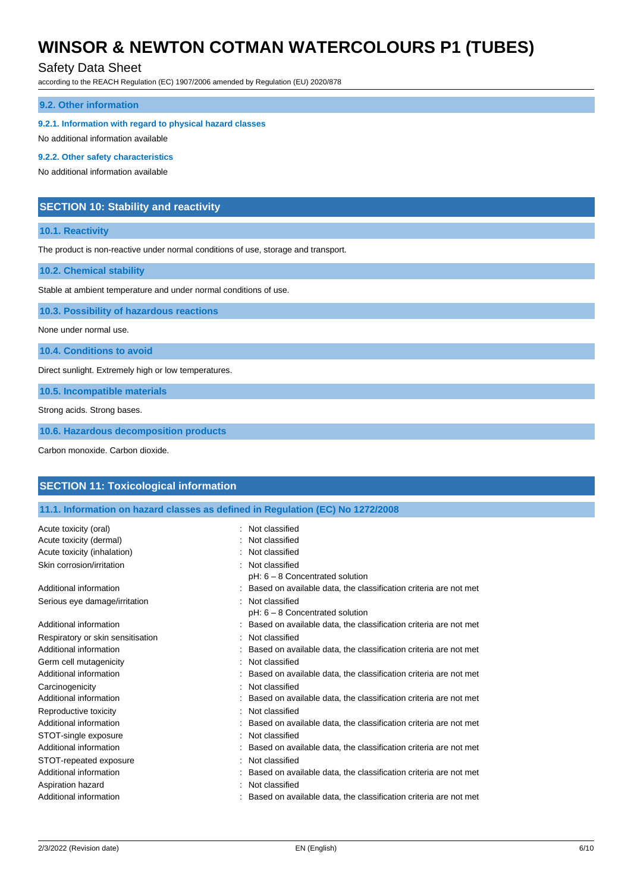### Safety Data Sheet

according to the REACH Regulation (EC) 1907/2006 amended by Regulation (EU) 2020/878

#### **9.2. Other information**

**9.2.1. Information with regard to physical hazard classes**

No additional information available

#### **9.2.2. Other safety characteristics**

No additional information available

#### **SECTION 10: Stability and reactivity**

#### **10.1. Reactivity**

The product is non-reactive under normal conditions of use, storage and transport.

**10.2. Chemical stability**

Stable at ambient temperature and under normal conditions of use.

**10.3. Possibility of hazardous reactions**

None under normal use.

**10.4. Conditions to avoid**

Direct sunlight. Extremely high or low temperatures.

**10.5. Incompatible materials**

Strong acids. Strong bases.

**10.6. Hazardous decomposition products**

Carbon monoxide. Carbon dioxide.

### **SECTION 11: Toxicological information 11.1. Information on hazard classes as defined in Regulation (EC) No 1272/2008** Acute toxicity (oral) **interest and the Contract Contract Contract Contract Contract Contract Contract Contract Contract Contract Contract Contract Contract Contract Contract Contract Contract Contract Contract Contract Co** Acute toxicity (dermal) **Example 2** Contract 2 Contract 2 Contract 2 Contract 2 Contract 2 Contract 2 Contract 2 Contract 2 Contract 2 Contract 2 Contract 2 Contract 2 Contract 2 Contract 2 Contract 2 Contract 2 Contract 2 Acute toxicity (inhalation)  $\qquad \qquad$ : Not classified Skin corrosion/irritation : Not classified pH: 6 – 8 Concentrated solution Additional information **interest of the classification criteria** are not met

Serious eye damage/irritation : Not classified pH: 6 – 8 Concentrated solution Additional information example of the state of the state on available data, the classification criteria are not met Respiratory or skin sensitisation : Not classified Additional information **interval in the classification** : Based on available data, the classification criteria are not met Germ cell mutagenicity **Second Contract Contract Contract Contract Contract Contract Contract Contract Contract Contract Contract Contract Contract Contract Contract Contract Contract Contract Contract Contract Contract Co** Additional information : Based on available data, the classification criteria are not met Carcinogenicity **Carcinogenicity 1999 Carcinogenicity Carcinogenicity Carcinogenicity Carcinogenicity Carcinogenicity Carcinogenicity Carcinogenicity Carcinogenicity Carcinogenicity Carcinogenicity** Additional information : Based on available data, the classification criteria are not met Reproductive toxicity **in the contract of the CRS** contract in the Reproductive toxicity Additional information **interest on a set on available data**, the classification criteria are not met STOT-single exposure in the state of the state of the STOT-single exposure in the state of the state of the state of the state of the state of the state of the state of the state of the state of the state of the state of t Additional information : Based on available data, the classification criteria are not met STOT-repeated exposure : Not classified Additional information : Based on available data, the classification criteria are not met Aspiration hazard **in the set of the set of the set of the set of the set of the set of the set of the set of the set of the set of the set of the set of the set of the set of the set of the set of the set of the set of th** Additional information example of the state of the state on available data, the classification criteria are not met

2/3/2022 (Revision date) EN (English) 6/10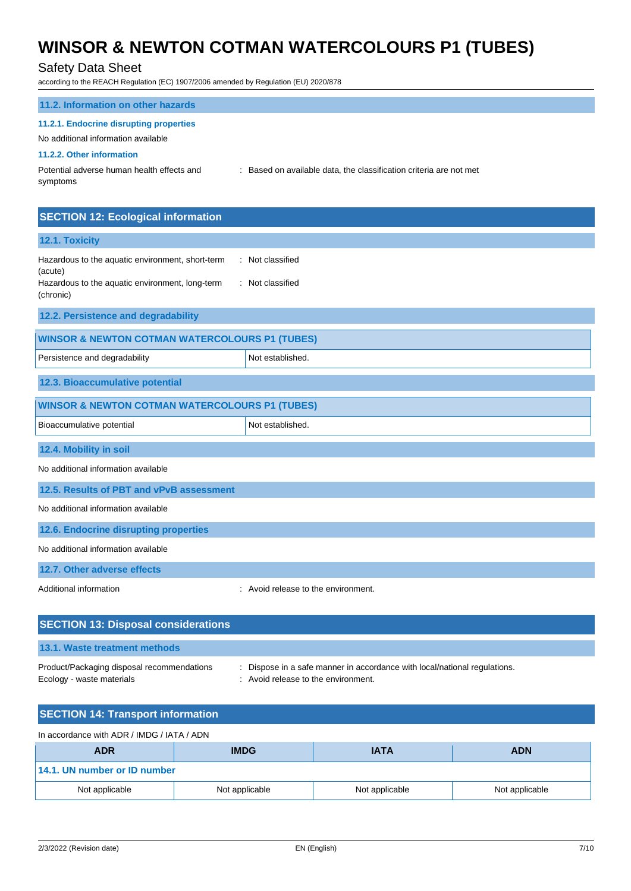## $\overline{D}$   $\overline{D}$

| Safety Data Sheet<br>according to the REACH Regulation (EC) 1907/2006 amended by Regulation (EU) 2020/878   |                                                                  |  |
|-------------------------------------------------------------------------------------------------------------|------------------------------------------------------------------|--|
| 11.2. Information on other hazards                                                                          |                                                                  |  |
| 11.2.1. Endocrine disrupting properties<br>No additional information available<br>11.2.2. Other information |                                                                  |  |
| Potential adverse human health effects and<br>symptoms                                                      | Based on available data, the classification criteria are not met |  |
| <b>SECTION 12: Ecological information</b>                                                                   |                                                                  |  |
| 12.1. Toxicity                                                                                              |                                                                  |  |
| Hazardous to the aquatic environment, short-term<br>(acute)                                                 | : Not classified                                                 |  |
| Hazardous to the aquatic environment, long-term<br>(chronic)                                                | : Not classified                                                 |  |
| 12.2. Persistence and degradability                                                                         |                                                                  |  |
| <b>WINSOR &amp; NEWTON COTMAN WATERCOLOURS P1 (TUBES)</b>                                                   |                                                                  |  |
| Persistence and degradability                                                                               | Not established.                                                 |  |
| 12.3. Bioaccumulative potential                                                                             |                                                                  |  |
| <b>WINSOR &amp; NEWTON COTMAN WATERCOLOURS P1 (TUBES)</b>                                                   |                                                                  |  |
| Bioaccumulative potential                                                                                   | Not established.                                                 |  |
| 12.4. Mobility in soil                                                                                      |                                                                  |  |
| No additional information available                                                                         |                                                                  |  |
| 12.5. Results of PBT and vPvB assessment                                                                    |                                                                  |  |
| No additional information available                                                                         |                                                                  |  |
| 12.6. Endocrine disrupting properties                                                                       |                                                                  |  |
| No additional information available                                                                         |                                                                  |  |
| 12.7. Other adverse effects                                                                                 |                                                                  |  |
| Additional information                                                                                      | : Avoid release to the environment.                              |  |

## **SECTION 13: Disposal considerations 13.1. Waste treatment methods**

Ecology - waste materials **Ecology** - waste materials **interval** and  $\cdot$  Avoid release to the environment.

Product/Packaging disposal recommendations : Dispose in a safe manner in accordance with local/national regulations.

## **SECTION 14: Transport information**

In accordance with ADR / IMDG / IATA / ADN

| <b>ADR</b>                   | <b>IMDG</b>    | <b>IATA</b>    | <b>ADN</b>     |
|------------------------------|----------------|----------------|----------------|
| 14.1. UN number or ID number |                |                |                |
| Not applicable               | Not applicable | Not applicable | Not applicable |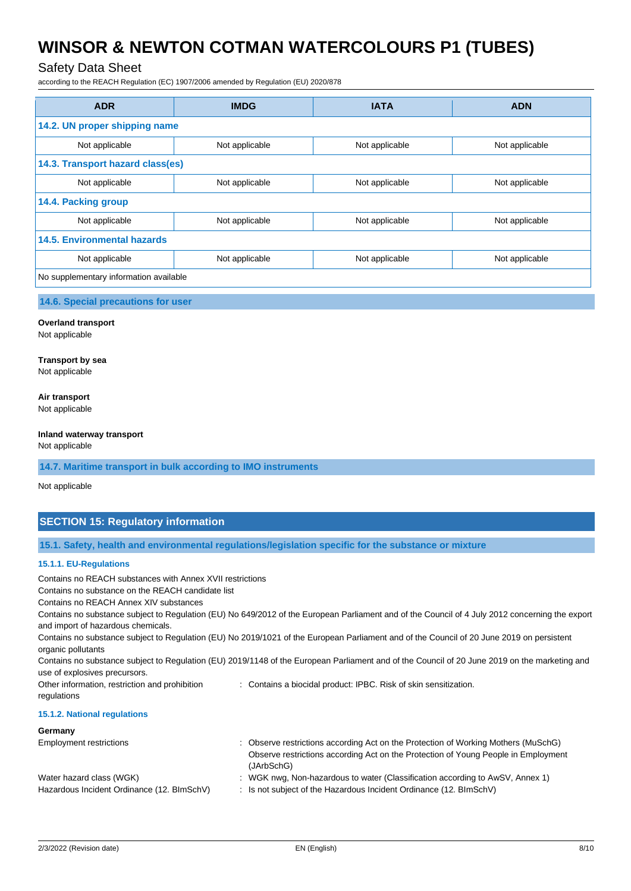### Safety Data Sheet

according to the REACH Regulation (EC) 1907/2006 amended by Regulation (EU) 2020/878

| <b>ADR</b>                             | <b>IMDG</b>    | <b>IATA</b>    | <b>ADN</b>     |  |
|----------------------------------------|----------------|----------------|----------------|--|
| 14.2. UN proper shipping name          |                |                |                |  |
| Not applicable                         | Not applicable | Not applicable | Not applicable |  |
| 14.3. Transport hazard class(es)       |                |                |                |  |
| Not applicable                         | Not applicable | Not applicable | Not applicable |  |
| 14.4. Packing group                    |                |                |                |  |
| Not applicable                         | Not applicable | Not applicable | Not applicable |  |
| <b>14.5. Environmental hazards</b>     |                |                |                |  |
| Not applicable                         | Not applicable | Not applicable | Not applicable |  |
| No supplementary information available |                |                |                |  |

#### **14.6. Special precautions for user**

#### **Overland transport**

Not applicable

#### **Transport by sea**

Not applicable

#### **Air transport**

Not applicable

#### **Inland waterway transport**

Not applicable

#### **14.7. Maritime transport in bulk according to IMO instruments**

Not applicable

### **SECTION 15: Regulatory information**

**15.1. Safety, health and environmental regulations/legislation specific for the substance or mixture**

#### **15.1.1. EU-Regulations**

Contains no REACH substances with Annex XVII restrictions Contains no substance on the REACH candidate list Contains no REACH Annex XIV substances Contains no substance subject to Regulation (EU) No 649/2012 of the European Parliament and of the Council of 4 July 2012 concerning the export and import of hazardous chemicals. Contains no substance subject to Regulation (EU) No 2019/1021 of the European Parliament and of the Council of 20 June 2019 on persistent organic pollutants Contains no substance subject to Regulation (EU) 2019/1148 of the European Parliament and of the Council of 20 June 2019 on the marketing and use of explosives precursors. Other information, restriction and prohibition regulations : Contains a biocidal product: IPBC. Risk of skin sensitization. **15.1.2. National regulations Germany** Employment restrictions : Observe restrictions according Act on the Protection of Working Mothers (MuSchG) Observe restrictions according Act on the Protection of Young People in Employment (JArbSchG)

| Water hazard class (WGK)                   | : WGK nwg, Non-hazardous to water (Classification according to AwSV, Annex 1) |
|--------------------------------------------|-------------------------------------------------------------------------------|
| Hazardous Incident Ordinance (12. BImSchV) | : Is not subject of the Hazardous Incident Ordinance (12. BImSchV)            |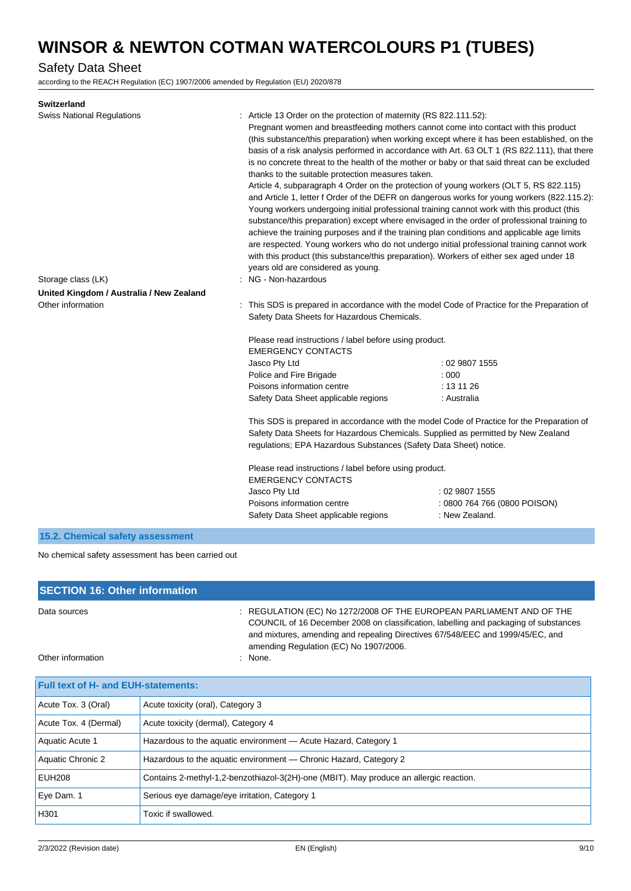## Safety Data Sheet

according to the REACH Regulation (EC) 1907/2006 amended by Regulation (EU) 2020/878

| <b>Switzerland</b>                       |                                                                                                                                                                                                                                                                                                                                                  |                                                                                                                                                                                                                                                                                                                                                                                                                                                                                                                                                                                                                                                                                                                                                                                                                                                                                |
|------------------------------------------|--------------------------------------------------------------------------------------------------------------------------------------------------------------------------------------------------------------------------------------------------------------------------------------------------------------------------------------------------|--------------------------------------------------------------------------------------------------------------------------------------------------------------------------------------------------------------------------------------------------------------------------------------------------------------------------------------------------------------------------------------------------------------------------------------------------------------------------------------------------------------------------------------------------------------------------------------------------------------------------------------------------------------------------------------------------------------------------------------------------------------------------------------------------------------------------------------------------------------------------------|
| <b>Swiss National Regulations</b>        | : Article 13 Order on the protection of maternity (RS 822.111.52):<br>Pregnant women and breastfeeding mothers cannot come into contact with this product<br>thanks to the suitable protection measures taken.<br>with this product (this substance/this preparation). Workers of either sex aged under 18<br>years old are considered as young. | (this substance/this preparation) when working except where it has been established, on the<br>basis of a risk analysis performed in accordance with Art. 63 OLT 1 (RS 822.111), that there<br>is no concrete threat to the health of the mother or baby or that said threat can be excluded<br>Article 4, subparagraph 4 Order on the protection of young workers (OLT 5, RS 822.115)<br>and Article 1, letter f Order of the DEFR on dangerous works for young workers (822.115.2):<br>Young workers undergoing initial professional training cannot work with this product (this<br>substance/this preparation) except where envisaged in the order of professional training to<br>achieve the training purposes and if the training plan conditions and applicable age limits<br>are respected. Young workers who do not undergo initial professional training cannot work |
| Storage class (LK)                       | : NG - Non-hazardous                                                                                                                                                                                                                                                                                                                             |                                                                                                                                                                                                                                                                                                                                                                                                                                                                                                                                                                                                                                                                                                                                                                                                                                                                                |
| United Kingdom / Australia / New Zealand |                                                                                                                                                                                                                                                                                                                                                  |                                                                                                                                                                                                                                                                                                                                                                                                                                                                                                                                                                                                                                                                                                                                                                                                                                                                                |
| Other information                        | Safety Data Sheets for Hazardous Chemicals.                                                                                                                                                                                                                                                                                                      | : This SDS is prepared in accordance with the model Code of Practice for the Preparation of                                                                                                                                                                                                                                                                                                                                                                                                                                                                                                                                                                                                                                                                                                                                                                                    |
|                                          | Please read instructions / label before using product.<br><b>EMERGENCY CONTACTS</b>                                                                                                                                                                                                                                                              |                                                                                                                                                                                                                                                                                                                                                                                                                                                                                                                                                                                                                                                                                                                                                                                                                                                                                |
|                                          | Jasco Pty Ltd                                                                                                                                                                                                                                                                                                                                    | : 02 9807 1555                                                                                                                                                                                                                                                                                                                                                                                                                                                                                                                                                                                                                                                                                                                                                                                                                                                                 |
|                                          | Police and Fire Brigade                                                                                                                                                                                                                                                                                                                          | : 000                                                                                                                                                                                                                                                                                                                                                                                                                                                                                                                                                                                                                                                                                                                                                                                                                                                                          |
|                                          | Poisons information centre                                                                                                                                                                                                                                                                                                                       | : 131126                                                                                                                                                                                                                                                                                                                                                                                                                                                                                                                                                                                                                                                                                                                                                                                                                                                                       |
|                                          | Safety Data Sheet applicable regions                                                                                                                                                                                                                                                                                                             | : Australia                                                                                                                                                                                                                                                                                                                                                                                                                                                                                                                                                                                                                                                                                                                                                                                                                                                                    |
|                                          | Safety Data Sheets for Hazardous Chemicals. Supplied as permitted by New Zealand<br>regulations; EPA Hazardous Substances (Safety Data Sheet) notice.                                                                                                                                                                                            | This SDS is prepared in accordance with the model Code of Practice for the Preparation of                                                                                                                                                                                                                                                                                                                                                                                                                                                                                                                                                                                                                                                                                                                                                                                      |
|                                          | Please read instructions / label before using product.<br><b>EMERGENCY CONTACTS</b>                                                                                                                                                                                                                                                              |                                                                                                                                                                                                                                                                                                                                                                                                                                                                                                                                                                                                                                                                                                                                                                                                                                                                                |
|                                          | Jasco Pty Ltd<br>Poisons information centre<br>Safety Data Sheet applicable regions                                                                                                                                                                                                                                                              | :0298071555<br>: 0800 764 766 (0800 POISON)<br>: New Zealand.                                                                                                                                                                                                                                                                                                                                                                                                                                                                                                                                                                                                                                                                                                                                                                                                                  |
| 15.2. Chemical safety assessment         |                                                                                                                                                                                                                                                                                                                                                  |                                                                                                                                                                                                                                                                                                                                                                                                                                                                                                                                                                                                                                                                                                                                                                                                                                                                                |

No chemical safety assessment has been carried out

| <b>SECTION 16: Other information</b> |                                                                                                                                                                                                                                                                                          |
|--------------------------------------|------------------------------------------------------------------------------------------------------------------------------------------------------------------------------------------------------------------------------------------------------------------------------------------|
| Data sources                         | : REGULATION (EC) No 1272/2008 OF THE EUROPEAN PARLIAMENT AND OF THE<br>COUNCIL of 16 December 2008 on classification, labelling and packaging of substances<br>and mixtures, amending and repealing Directives 67/548/EEC and 1999/45/EC, and<br>amending Regulation (EC) No 1907/2006. |
| Other information                    | $:$ None.                                                                                                                                                                                                                                                                                |

| <b>Full text of H- and EUH-statements:</b> |                                                                                        |
|--------------------------------------------|----------------------------------------------------------------------------------------|
| Acute Tox. 3 (Oral)                        | Acute toxicity (oral), Category 3                                                      |
| Acute Tox. 4 (Dermal)                      | Acute toxicity (dermal), Category 4                                                    |
| Aquatic Acute 1                            | Hazardous to the aquatic environment - Acute Hazard, Category 1                        |
| Aquatic Chronic 2                          | Hazardous to the aquatic environment — Chronic Hazard, Category 2                      |
| <b>EUH208</b>                              | Contains 2-methyl-1,2-benzothiazol-3(2H)-one (MBIT). May produce an allergic reaction. |
| Eye Dam. 1                                 | Serious eye damage/eye irritation, Category 1                                          |
| H301                                       | Toxic if swallowed.                                                                    |